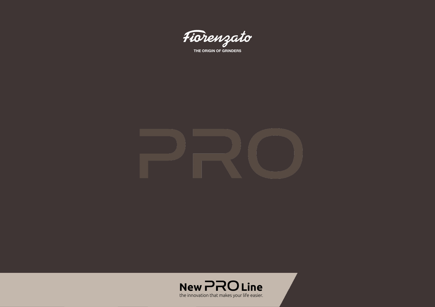

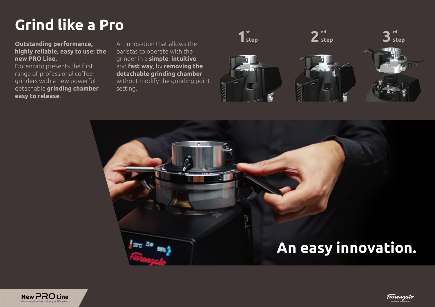# **Grind like a Pro**

## **Outstanding performance, highly reliable, easy to use: the new PRO Line.**

Fiorenzato presents the first range of professional coffee grinders with a new powerful detachable **grinding chamber easy to release**.

An innovation that allows the baristas to operate with the grinder in a **simple**, **intuitive** and **fast way**, by **removing the detachable grinding chamber** without modify the grinding point setting.



# **An easy innovation.**



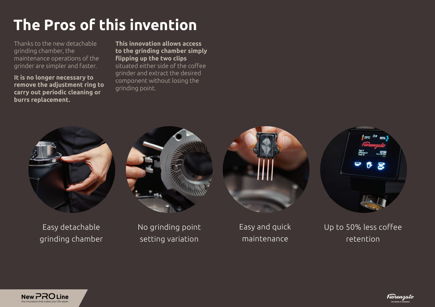# **The Pros of this invention**

Thanks to the new detachable grinding chamber, the maintenance operations of the grinder are simpler and faster.

**It is no longer necessary to remove the adjustment ring to carry out periodic cleaning or burrs replacement.** 

**This innovation allows access to the grinding chamber simply flipping up the two clips** situated either side of the coffee grinder and extract the desired component without losing the grinding point.



Easy detachable grinding chamber



No grinding point setting variation

Easy and quick maintenance



Up to 50% less coffee retention



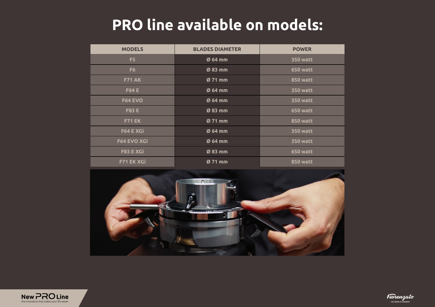## **PRO line available on models:**

| <b>MODELS</b>  | <b>BLADES DIAMETER</b> | <b>POWER</b>    |
|----------------|------------------------|-----------------|
| F <sub>5</sub> | Ø 64 mm                | <b>350 watt</b> |
| F <sub>6</sub> | Ø 83 mm                | <b>650 watt</b> |
| <b>F71 AK</b>  | Ø 71 mm                | <b>850 watt</b> |
| <b>F64 E</b>   | Ø 64 mm                | <b>350 watt</b> |
| <b>F64 EVO</b> | Ø 64 mm                | <b>350 watt</b> |
| <b>F83 E</b>   | Ø 83 mm                | <b>650 watt</b> |
| <b>F71 EK</b>  | Ø 71 mm                | <b>850 watt</b> |
| F64 E XGi      | Ø 64 mm                | <b>350 watt</b> |
| F64 EVO XGi    | Ø 64 mm                | <b>350 watt</b> |
| F83 E XGi      | Ø 83 mm                | <b>650 watt</b> |
| F71 EK XGi     | Ø 71 mm                | <b>850 watt</b> |